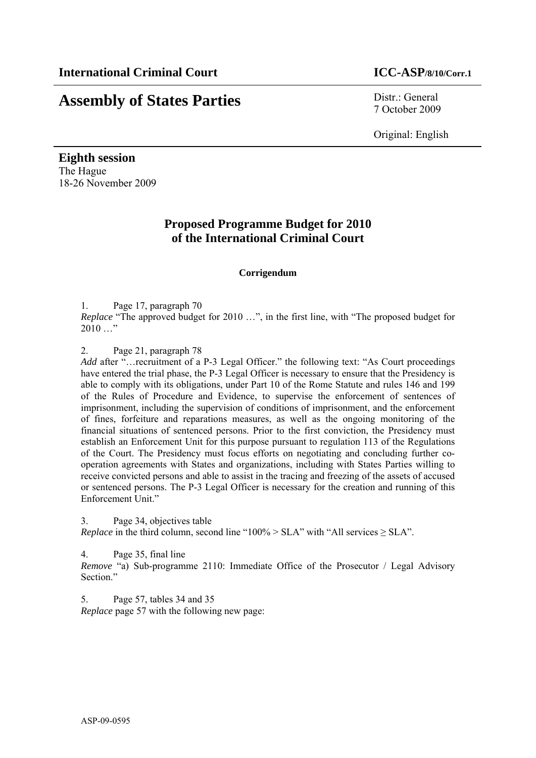# **Assembly of States Parties** Distr.: General

7 October 2009

Original: English

**Eighth session**  The Hague 18-26 November 2009

## **Proposed Programme Budget for 2010 of the International Criminal Court**

## **Corrigendum**

1. Page 17, paragraph 70

*Replace* "The approved budget for 2010 …", in the first line, with "The proposed budget for  $2010...$ "

2. Page 21, paragraph 78

Add after "... recruitment of a P-3 Legal Officer." the following text: "As Court proceedings have entered the trial phase, the P-3 Legal Officer is necessary to ensure that the Presidency is able to comply with its obligations, under Part 10 of the Rome Statute and rules 146 and 199 of the Rules of Procedure and Evidence, to supervise the enforcement of sentences of imprisonment, including the supervision of conditions of imprisonment, and the enforcement of fines, forfeiture and reparations measures, as well as the ongoing monitoring of the financial situations of sentenced persons. Prior to the first conviction, the Presidency must establish an Enforcement Unit for this purpose pursuant to regulation 113 of the Regulations of the Court. The Presidency must focus efforts on negotiating and concluding further cooperation agreements with States and organizations, including with States Parties willing to receive convicted persons and able to assist in the tracing and freezing of the assets of accused or sentenced persons. The P-3 Legal Officer is necessary for the creation and running of this Enforcement Unit."

3. Page 34, objectives table *Replace* in the third column, second line "100% > SLA" with "All services  $\geq$  SLA".

4. Page 35, final line

*Remove* "a) Sub-programme 2110: Immediate Office of the Prosecutor / Legal Advisory Section."

5. Page 57, tables 34 and 35 *Replace* page 57 with the following new page: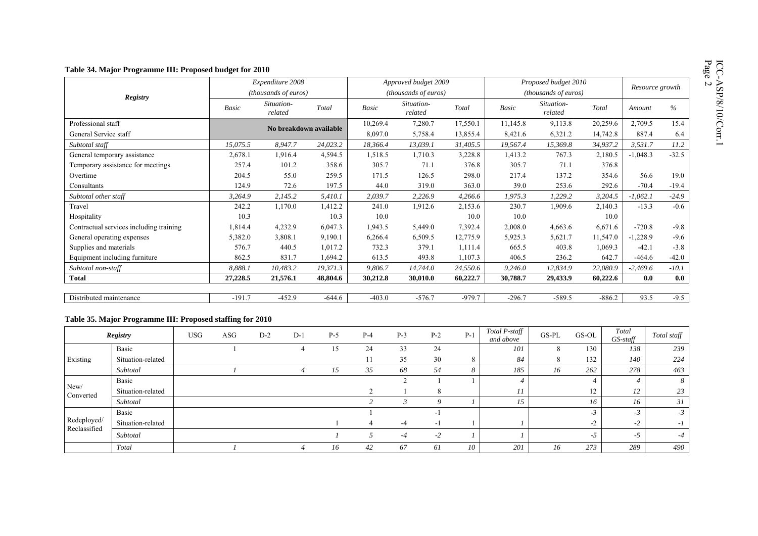|                                         |              | Expenditure 2008            |          | Approved budget 2009<br>( <i>thousands of euros</i> ) |                       |          | Proposed budget 2010        | Resource growth       |          |            |         |
|-----------------------------------------|--------------|-----------------------------|----------|-------------------------------------------------------|-----------------------|----------|-----------------------------|-----------------------|----------|------------|---------|
| <b>Registry</b>                         |              | <i>(thousands of euros)</i> |          |                                                       |                       |          | <i>(thousands of euros)</i> |                       |          |            |         |
|                                         | <b>Basic</b> | Situation-<br>related       | Total    | Basic                                                 | Situation-<br>related | Total    | <b>Basic</b>                | Situation-<br>related | Total    | Amount     |         |
| Professional staff                      |              | No breakdown available      |          | 10,269.4                                              | 7,280.7               | 17,550.1 | 11,145.8                    | 9,113.8               | 20,259.6 | 2,709.5    | 15.4    |
| General Service staff                   |              |                             |          | 8,097.0                                               | 5,758.4               | 13,855.4 | 8,421.6                     | 6,321.2               | 14,742.8 | 887.4      | 6.4     |
| Subtotal staff                          | 15.075.5     | 8,947.7                     | 24,023.2 | 18,366.4                                              | 13,039.1              | 31,405.5 | 19,567.4                    | 15,369.8              | 34,937.2 | 3,531.7    | 11.2    |
| General temporary assistance            | 2,678.1      | 1,916.4                     | 4,594.5  | 1,518.5                                               | 1,710.3               | 3,228.8  | 1,413.2                     | 767.3                 | 2,180.5  | $-1,048.3$ | $-32.5$ |
| Temporary assistance for meetings       | 257.4        | 101.2                       | 358.6    | 305.7                                                 | 71.1                  | 376.8    | 305.7                       | 71.1                  | 376.8    |            |         |
| Overtime                                | 204.5        | 55.0                        | 259.5    | 171.5                                                 | 126.5                 | 298.0    | 217.4                       | 137.2                 | 354.6    | 56.6       | 19.0    |
| Consultants                             | 124.9        | 72.6                        | 197.5    | 44.0                                                  | 319.0                 | 363.0    | 39.0                        | 253.6                 | 292.6    | $-70.4$    | $-19.4$ |
| Subtotal other staff                    | 3,264.9      | 2,145.2                     | 5,410.1  | 2,039.7                                               | 2,226.9               | 4,266.6  | 1,975.3                     | 1,229.2               | 3,204.5  | $-1,062.1$ | $-24.9$ |
| Travel                                  | 242.2        | 1,170.0                     | 1,412.2  | 241.0                                                 | 1,912.6               | 2,153.6  | 230.7                       | 1,909.6               | 2,140.3  | $-13.3$    | $-0.6$  |
| Hospitality                             | 10.3         |                             | 10.3     | 10.0                                                  |                       | 10.0     | 10.0                        |                       | 10.0     |            |         |
| Contractual services including training | 1,814.4      | 4,232.9                     | 6,047.3  | 1,943.5                                               | 5,449.0               | 7,392.4  | 2,008.0                     | 4,663.6               | 6,671.6  | $-720.8$   | $-9.8$  |
| General operating expenses              | 5,382.0      | 3,808.1                     | 9,190.1  | 6,266.4                                               | 6,509.5               | 12,775.9 | 5,925.3                     | 5,621.7               | 11,547.0 | $-1,228.9$ | $-9.6$  |
| Supplies and materials                  | 576.7        | 440.5                       | 1,017.2  | 732.3                                                 | 379.1                 | 1,111.4  | 665.5                       | 403.8                 | 1,069.3  | $-42.1$    | $-3.8$  |
| Equipment including furniture           | 862.5        | 831.7                       | 1,694.2  | 613.5                                                 | 493.8                 | 1,107.3  | 406.5                       | 236.2                 | 642.7    | $-464.6$   | $-42.0$ |
| Subtotal non-staff                      | 8.888.1      | 10,483.2                    | 19,371.3 | 9,806.7                                               | 14.744.0              | 24,550.6 | 9,246.0                     | 12,834.9              | 22,080.9 | $-2,469.6$ | $-10.1$ |
| <b>Total</b>                            | 27,228.5     | 21,576.1                    | 48,804.6 | 30,212.8                                              | 30,010.0              | 60,222.7 | 30,788.7                    | 29,433.9              | 60,222.6 | 0.0        | 0.0     |

### **Table 35. Major Programme III: Proposed staffing for 2010**

|                             | Registry          | <b>USG</b> | ASG | $D-2$ | $D-1$ | $P-5$ | $P-4$ | $P-3$ | $P-2$ | $P-1$    | Total P-staff<br>and above | GS-PL | GS-OL         | Total<br>GS-staff | Total staff |
|-----------------------------|-------------------|------------|-----|-------|-------|-------|-------|-------|-------|----------|----------------------------|-------|---------------|-------------------|-------------|
| Existing                    | Basic             |            |     |       |       | 15    | 24    | 33    | 24    |          | 101                        |       | 130           | 138               | 239         |
|                             | Situation-related |            |     |       |       |       | 11    | 35    | 30    | 8        | 84                         |       | 132           | 140               | 224         |
|                             | Subtotal          |            |     |       |       | 15    | 35    | 68    | 54    | $\Delta$ | 185                        | 16    | 262           | 278               | 463         |
| New/<br>Converted           | Basic             |            |     |       |       |       |       |       |       |          |                            |       |               |                   | 8           |
|                             | Situation-related |            |     |       |       |       |       |       | 8     |          | 11                         |       | 12            | 12                | 23          |
|                             | Subtotal          |            |     |       |       |       |       |       | 9     |          | 15                         |       | 16            | 16                | 31          |
|                             | Basic             |            |     |       |       |       |       |       | - 1   |          |                            |       | $\sim$<br>- 3 | $-3$              | $-3$        |
| Redeployed/<br>Reclassified | Situation-related |            |     |       |       |       |       | -4    | $-1$  |          |                            |       | $-2$          | -2                | -1          |
|                             | Subtotal          |            |     |       |       |       |       | $-4$  | $-2$  |          |                            |       | -.)           | $-5$              | -4          |
|                             | Total             |            |     |       |       | 16    | 42    | 67    | 61    | 10       | 201                        | 16    | 273           | 289               | 490         |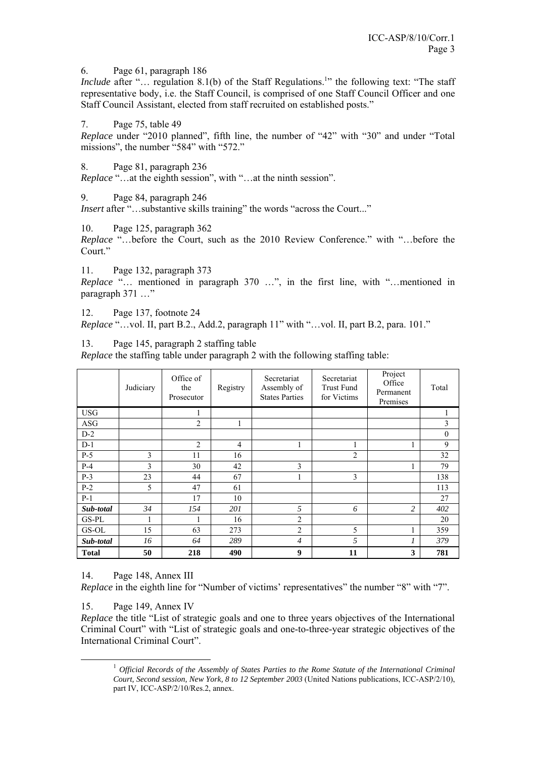6. Page 61, paragraph 186

*Include* after "... regulation 8.1(b) of the Staff Regulations.<sup>1</sup> the following text: "The staff representative body, i.e. the Staff Council, is comprised of one Staff Council Officer and one Staff Council Assistant, elected from staff recruited on established posts."

7. Page 75, table 49

*Replace* under "2010 planned", fifth line, the number of "42" with "30" and under "Total missions", the number "584" with "572."

8. Page 81, paragraph 236

*Replace* "…at the eighth session", with "…at the ninth session".

9. Page 84, paragraph 246

*Insert* after "...substantive skills training" the words "across the Court..."

10. Page 125, paragraph 362

*Replace* "…before the Court, such as the 2010 Review Conference." with "…before the Court."

11. Page 132, paragraph 373

*Replace* "… mentioned in paragraph 370 …", in the first line, with "…mentioned in paragraph 371 ..."

12. Page 137, footnote 24

*Replace* "…vol. II, part B.2., Add.2, paragraph 11" with "…vol. II, part B.2, para. 101."

13. Page 145, paragraph 2 staffing table

*Replace* the staffing table under paragraph 2 with the following staffing table:

|              | Judiciary | Office of<br>the<br>Prosecutor | Registry       | Secretariat<br>Assembly of<br><b>States Parties</b> | Secretariat<br><b>Trust Fund</b><br>for Victims | Project<br>Office<br>Permanent<br>Premises | Total          |
|--------------|-----------|--------------------------------|----------------|-----------------------------------------------------|-------------------------------------------------|--------------------------------------------|----------------|
| <b>USG</b>   |           |                                |                |                                                     |                                                 |                                            | 1              |
| ASG          |           | $\overline{2}$                 | 1              |                                                     |                                                 |                                            | $\mathfrak{Z}$ |
| $D-2$        |           |                                |                |                                                     |                                                 |                                            | $\mathbf{0}$   |
| $D-1$        |           | $\overline{2}$                 | $\overline{4}$ | 1                                                   | 1                                               |                                            | 9              |
| $P-5$        | 3         | 11                             | 16             |                                                     | $\overline{2}$                                  |                                            | 32             |
| $P-4$        | 3         | 30                             | 42             | 3                                                   |                                                 | 1                                          | 79             |
| $P-3$        | 23        | 44                             | 67             | 1                                                   | 3                                               |                                            | 138            |
| $P-2$        | 5         | 47                             | 61             |                                                     |                                                 |                                            | 113            |
| $P-1$        |           | 17                             | 10             |                                                     |                                                 |                                            | 27             |
| Sub-total    | 34        | 154                            | 201            | 5                                                   | 6                                               | 2                                          | 402            |
| GS-PL        | 1         |                                | 16             | $\overline{c}$                                      |                                                 |                                            | 20             |
| GS-OL        | 15        | 63                             | 273            | 2                                                   | 5                                               |                                            | 359            |
| Sub-total    | 16        | 64                             | 289            | $\overline{4}$                                      | 5                                               | 1                                          | 379            |
| <b>Total</b> | 50        | 218                            | 490            | 9                                                   | 11                                              | 3                                          | 781            |

## 14. Page 148, Annex III

*Replace* in the eighth line for "Number of victims' representatives" the number "8" with "7".

15. Page 149, Annex IV

*Replace* the title "List of strategic goals and one to three years objectives of the International Criminal Court" with "List of strategic goals and one-to-three-year strategic objectives of the International Criminal Court".

 <sup>1</sup> *Official Records of the Assembly of States Parties to the Rome Statute of the International Criminal Court, Second session, New York, 8 to 12 September 2003* (United Nations publications, ICC-ASP/2/10), part IV, ICC-ASP/2/10/Res.2, annex.